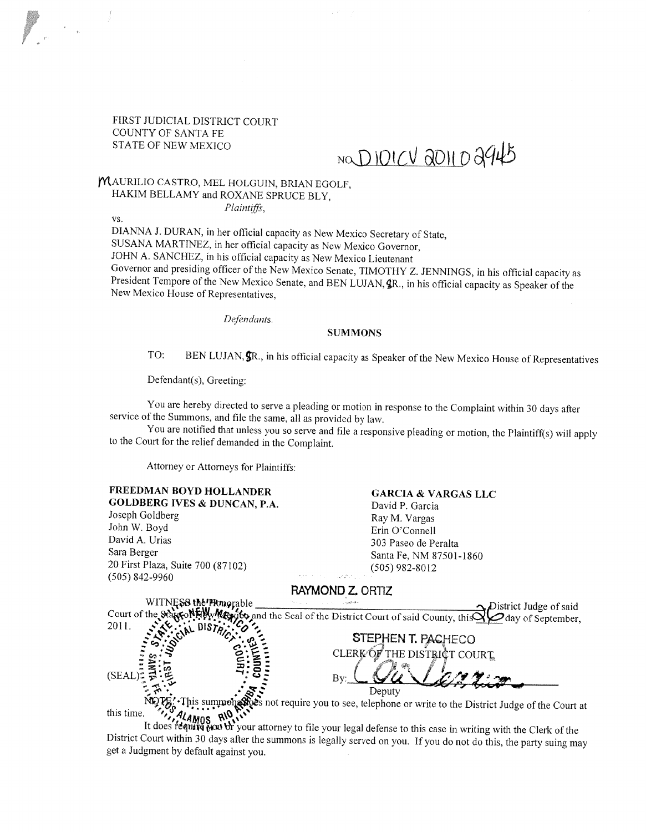FIRST JUDICIAL DISTRICT COURT COUNTY OF SANTA FE STATE OF NEW MEXICO

# NO DIOICV 2011 02945

#### MAURILIO CASTRO, MEL HOLGUIN, BRIAN EGOLF. HAKIM BELLAMY and ROXANE SPRUCE BLY,

Plaintiffs,

vs.

DIANNA J. DURAN, in her official capacity as New Mexico Secretary of State, SUSANA MARTINEZ, in her official capacity as New Mexico Governor, JOHN A. SANCHEZ, in his official capacity as New Mexico Lieutenant<br>Governor and presiding officer of the New Mexico Senate, TIMOTHY Z. JENNINGS, in his official capacity as President Tempore of the New Mexico Senate, and BEN LUJAN,  $\oint R$ ., in his official capacity as Speaker of the New Mexico House of Representatives.

Defendants.

#### SUMMONS

TO: BEN LUJAN,  $\oint \mathbb{R}$ , in his official capacity as Speaker of the New Mexico House of Representatives

Defendant(s), Greeting:

You are hereby directed to serve <sup>a</sup> <sup>p</sup>leading or motion in response to the Complaint within <sup>30</sup> days after service of the Summons, and file the same, all as provided by law.

You are notified that unless you so serve and file <sup>a</sup> responsive <sup>p</sup>leading or motion, the Plaintiff(s) will apply to the Court for the relief demanded in the Complaint.

Attorney or Attorneys for Plaintiffs:

#### FREEDMAN BOYD HOLLANDER GARCIA & VARGAS LLC

GOLDBERG IVES & DUNCAN, P.A. David P. Garcia Joseph Goldberg Ray M. Vargas<br>
John W. Boyd Frin O'Connell David A. Urias 303 Paseo de Peralta<br>Sara Berger 303 Paseo de Peralta <sup>20</sup> First Plaza, Suite <sup>700</sup> (87102) (505) 982-8012 (505) 842-9960

Erin O'Connell Santa Fe, NM 87501-1860

RAYMOND Z. ORTIZ WITNESS the Plonorable Court of the State of State Though the Figure of said Court of said County, this Care of September day of September, 2011. %••\DlST <sup>1</sup>•O-STEPHEN T. PACHECO CLERK OF THE DISTRICT COURT  $(SEAL)$ :  $\frac{1}{2}$   $\frac{1}{2}$   $\frac{1}{2}$   $\frac{1}{2}$   $\frac{1}{2}$   $\frac{1}{2}$   $\frac{1}{2}$   $\frac{1}{2}$   $\frac{1}{2}$   $\frac{1}{2}$   $\frac{1}{2}$   $\frac{1}{2}$   $\frac{1}{2}$   $\frac{1}{2}$   $\frac{1}{2}$   $\frac{1}{2}$   $\frac{1}{2}$   $\frac{1}{2}$   $\frac{1}{2}$   $\frac{1}{2}$   $\frac{1}{2}$   $\frac$ Deputy<br>This summon example is not require you to see, telephone or write to the District Judge of the Court at

this time.<br>It does **fequite NOWS**<br>It does **fequite NOWS** To your attorney to file your legal defense to this case in writing with the Clerk of the<br>District Court within 30 days after the summons is legally served on you. I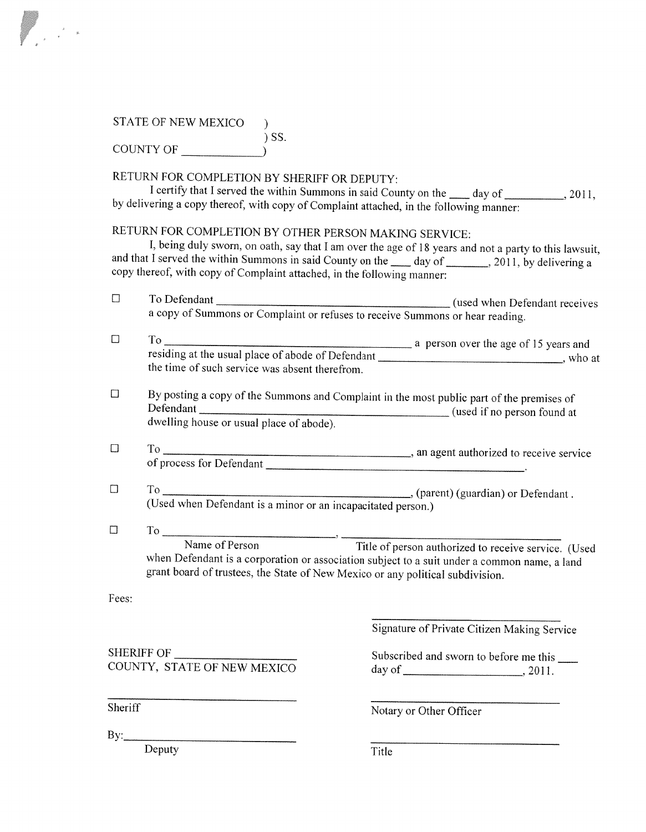## STATE OF NEW MEXICO  $\qquad$  )  $\big)$  SS.

| COUNTY OF |  |
|-----------|--|
|           |  |

## RETURN FOR COMPLETiON BY SHERIFF OR DEPUTY:

I certify that I served the within Summons in said County on the \_\_\_\_ day of \_\_\_\_\_\_\_\_\_, 2011, by delivering <sup>a</sup> copy thereof, with copy of Complaint attached, in the following manner:

RETURN FOR COMPLETION BY OTHER PERSON MAKING SERVICE:<br>I, being duly sworn, on oath, say that I am over the age of 18 years and not a party to this lawsuit, and that I served the within Summons in said County on the  $\frac{1}{2}$  day of  $\frac{1}{2011}$ , by delivering a copy thereof, with copy of Complaint attached, in the following manner:

| $\Box$  |                                                                                                                                                                                                                                                             |                                                |  |
|---------|-------------------------------------------------------------------------------------------------------------------------------------------------------------------------------------------------------------------------------------------------------------|------------------------------------------------|--|
| $\Box$  | the time of such service was absent therefrom.                                                                                                                                                                                                              |                                                |  |
| $\Box$  | By posting a copy of the Summons and Complaint in the most public part of the premises of                                                                                                                                                                   |                                                |  |
| $\Box$  |                                                                                                                                                                                                                                                             |                                                |  |
| $\Box$  |                                                                                                                                                                                                                                                             |                                                |  |
| $\Box$  | To Name of Person<br>Title of person authorized to receive service. (Used<br>when Defendant is a corporation or association subject to a suit under a common name, a land<br>grant board of trustees, the State of New Mexico or any political subdivision. |                                                |  |
| Fees:   |                                                                                                                                                                                                                                                             |                                                |  |
|         |                                                                                                                                                                                                                                                             | Signature of Private Citizen Making Service    |  |
|         | SHERIFF OF<br>COUNTY, STATE OF NEW MEXICO                                                                                                                                                                                                                   | Subscribed and sworn to before me this _______ |  |
| Sheriff |                                                                                                                                                                                                                                                             | Notary or Other Officer                        |  |
|         | By: $\qquad \qquad$                                                                                                                                                                                                                                         |                                                |  |
|         | Deputy                                                                                                                                                                                                                                                      | Title                                          |  |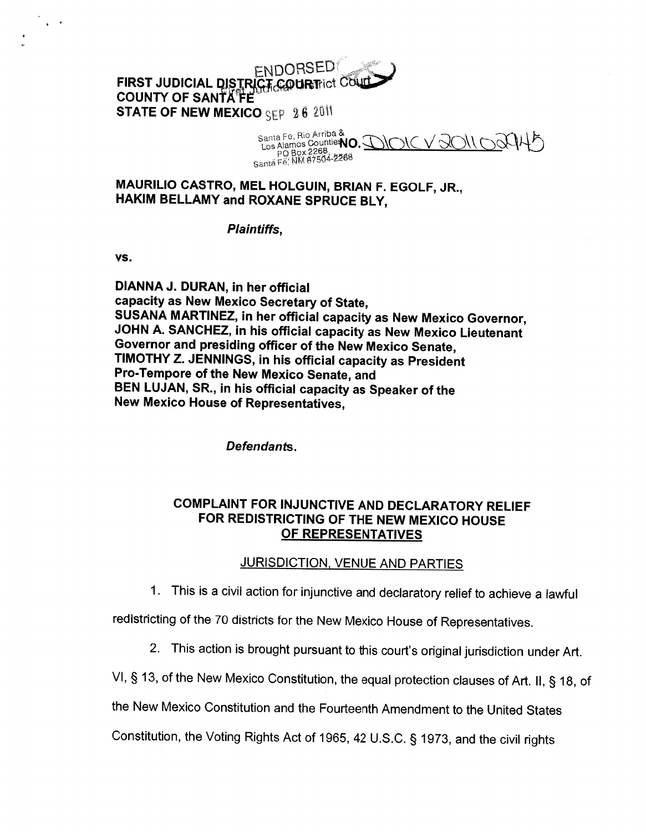#### **ENDORSED** FIRST JUDICIAL DISTRICT COURTICT COUL COUNTY OF SANTAFE STATE OF NEW MEXICO SEP  $262011$

Santa Fe, Rio Arriba **NO.**<br>Los Alamos Countie**ÑO.**<br>Santã Fe, NM 87504-2268

MAURILIO CASTRO, MEL HOLGUIN, BRIAN F. EGOLF, JR., HAKIM BELLAMY and ROXANE SPRUCE BLY,

#### Plaintiffs,

vs.

 $\sqrt{1-\delta}$ 

DIANNA J. DURAN, in her official capacity as New Mexico Secretary of State,<br>SUSANA MARTINEZ, in her official capacity as New Mexico Governor, JOHN A. SANCHEZ, in his official capacity as New Mexico Lieutenant Governor and presiding officer of the New Mexico Senate, TIMOTHY Z. JENNINGS, in his official capacity as President Pro-Tempore of the New Mexico Senate, and BEN LUJAN, SR., in his official capacity as Speaker of the New Mexico House of Representatives,

Defendants.

#### COMPLAINT FOR INJUNCTIVE AND DECLARATORY RELIEF FOR REDISTRICTING OF THE NEW MEXICO HOUSE OF REPRESENTATIVES

#### JURISDICTION, VENUE AND PARTIES

1. This is <sup>a</sup> civil action for injunctive and declaratory relief to achieve <sup>a</sup> lawful

redistricting of the <sup>70</sup> districts for the New Mexico House of Representatives.

- 2. This action is brought pursuant to this court's original jurisdiction under Art.
- VI, § 13, of the New Mexico Constitution, the equa<sup>l</sup> protection clauses of Art. II, § 18, of

the New Mexico Constitution and the Fourteenth Amendment to the United States

Constitution, the Voting Rights Act of 1965, <sup>42</sup> U.S.C. § 1973, and the civil rights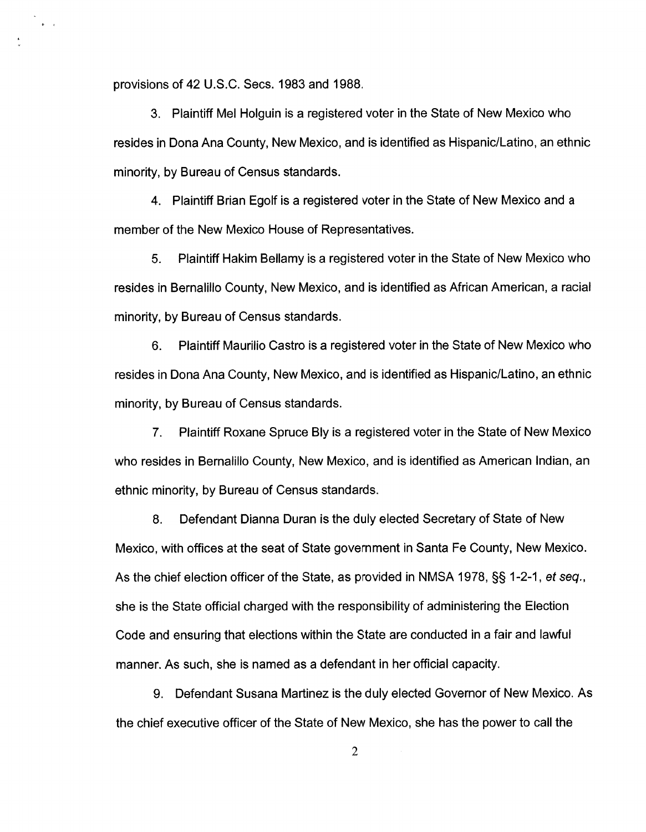provisions of 42 U.S.C. Secs. 1983 and 1988.

 $\bullet$  .  $\bullet$ 

3. Plaintiff Mel Holguin is <sup>a</sup> registered voter in the State of New Mexico who resides in Dona Ana County, New Mexico, and is identified as Hispanic/Latino, an ethnic minority, by Bureau of Census standards.

4. Plaintiff Brian Egolf is <sup>a</sup> registered voter in the State of New Mexico and <sup>a</sup> member of the New Mexico House of Representatives.

5. Plaintiff Hakim Bellamy is <sup>a</sup> registered voter in the State of New Mexico who resides in Bernalillo County, New Mexico, and is identified as African American, <sup>a</sup> racial minority, by Bureau of Census standards.

6. Plaintiff Maurilio Castro is <sup>a</sup> registered voter in the State of New Mexico who resides in Dona Ana County, New Mexico, and is identified as Hispanic/Latino, an ethnic minority, by Bureau of Census standards.

7. Plaintiff Roxane Spruce Bly is <sup>a</sup> registered voter in the State of New Mexico who resides in Bernalillo County, New Mexico, and is identified as American Indian, an ethnic minority, by Bureau of Census standards.

8. Defendant Dianna Duran is the duly elected Secretary of State of New Mexico, with offices at the seat of State governmen<sup>t</sup> in Santa Fe County, New Mexico. As the chief election officer of the State, as provided in NMSA 1978,  $\S$ § 1-2-1, et seq., she is the State official charged with the responsibility of administering the Election Code and ensuring that elections within the State are conducted in <sup>a</sup> fair and lawful manner. As such, she is named as <sup>a</sup> defendant in her official capacity.

9. Defendant Susana Martinez is the duly elected Governor of New Mexico. As the chief executive officer of the State of New Mexico, she has the power to call the

2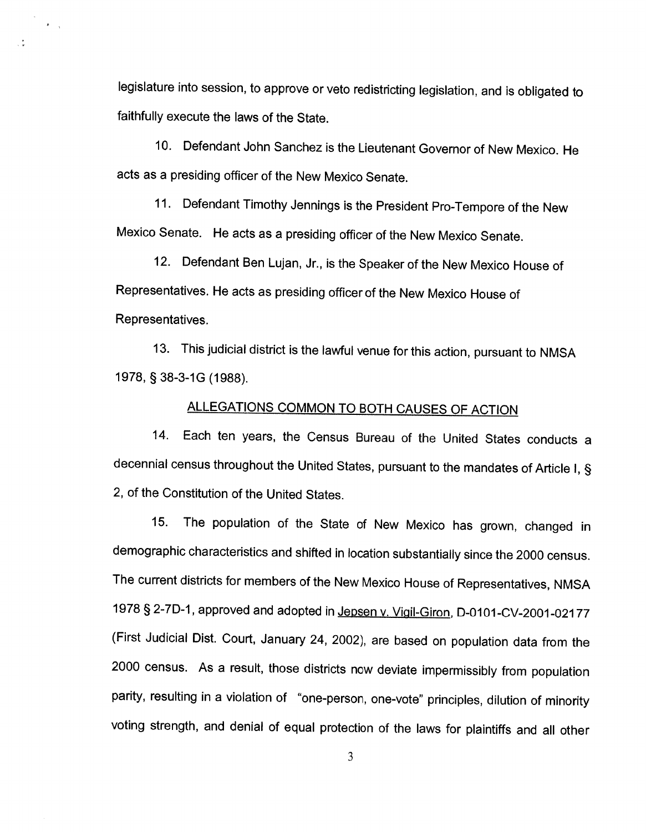legislature into session, to approve or veto redistricting legislation, and is obligated to faithfully execute the laws of the State.

 $\mathbf{F}=\frac{1}{N}$ 

 $\frac{1}{2}$ 

10. Defendant John Sanchez is the Lieutenant Governor of New Mexico. He acts as <sup>a</sup> presiding officer of the New Mexico Senate.

II. Defendant Timothy Jennings is the President Pro-Tempore of the New Mexico Senate. He acts as <sup>a</sup> presiding officer of the New Mexico Senate.

12. Defendant Ben Lujan, Jr., is the Speaker of the New Mexico House of Representatives. He acts as presiding officer of the New Mexico House of Representatives.

13. This judicial district is the lawful venue for this action, pursuant to NMSA 1978, § 38-3-1G (1988).

### ALLEGATIONS COMMON TO BOTH CAUSES OF ACTION

14. Each ten years, the Census Bureau of the United States conducts <sup>a</sup> decennial census throughout the United States, pursuant to the mandates of Article I, § 2, of the Constitution of the United States.

15. The population of the State of New Mexico has grown, changed in demographic characteristics and shifted in location substantially since the <sup>2000</sup> census. The current districts for members of the New Mexico House of Representatives, NMSA 1978 § 2-7D-1, approved and adopted in Jepsen v. Vigil-Giron, D-0101-CV-2001-02177 (First Judicial Dist. Court, January 24, 2002), are based on population data from the <sup>2000</sup> census. As <sup>a</sup> result, those districts now deviate impermissibly from population parity, resulting in <sup>a</sup> violation of "one-person, one-vote" principles, dilution of minority voting strength, and denial of equal protection of the laws for <sup>p</sup>laintiffs and all other

3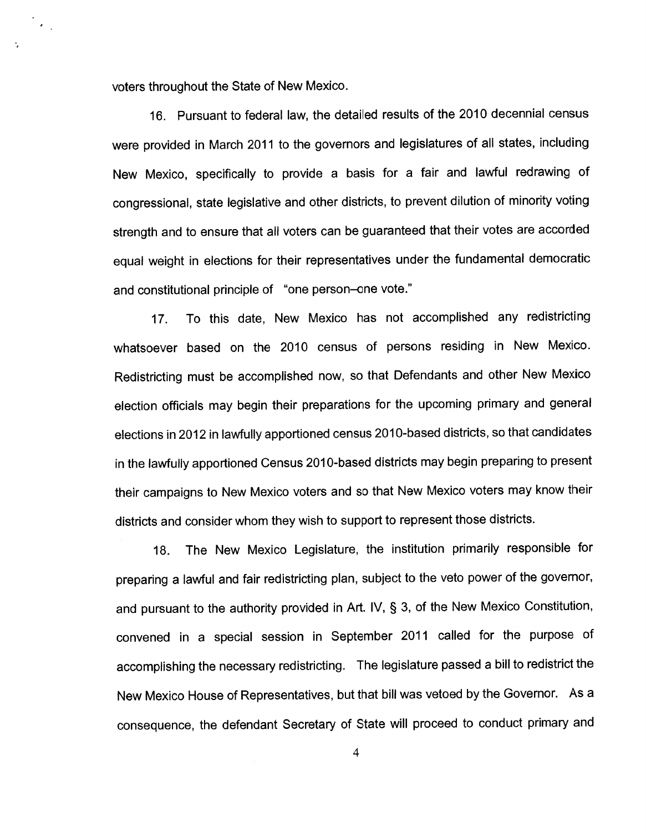voters throughout the State of New Mexico.

 $\epsilon$ 

16. Pursuant to federal law, the detailed results of the 2010 decennial census were provided in March <sup>2011</sup> to the governors and legislatures of all states, including New Mexico, specifically to provide <sup>a</sup> basis for <sup>a</sup> fair and lawful redrawing of congressional, state legislative and other districts, to preven<sup>t</sup> dilution of minority voting strength and to ensure that all voters can be guaranteed that their votes are accorded equa<sup>l</sup> weight in elections for their representatives under the fundamental democratic and constitutional principle of "one person—one vote."

17. To this date, New Mexico has not accomplished any redistricting whatsoever based on the <sup>2010</sup> census of persons residing in New Mexico. Redistricting must be accomplished now, so that Defendants and other New Mexico election officials may begin their preparations for the upcoming primary and genera<sup>l</sup> elections in <sup>2012</sup> in lawfully apportioned census 2010-based districts, so that candidates in the lawfully apportioned Census 2010-based districts may begin preparing to presen<sup>t</sup> their campaigns to New Mexico voters and so that New Mexico voters may know their districts and consider whom they wish to suppor<sup>t</sup> to represen<sup>t</sup> those districts.

18. The New Mexico Legislature, the institution primarily responsible for preparing <sup>a</sup> lawful and fair redistricting <sup>p</sup>lan, subject to the veto power of the governor, and pursuan<sup>t</sup> to the authority provided in Art. IV, § 3, of the New Mexico Constitution, convened in <sup>a</sup> special session in September <sup>2011</sup> called for the purpose of accomplishing the necessary redistricting. The legislature passe<sup>d</sup> <sup>a</sup> bill to redistrict the New Mexico House of Representatives, but that bill was vetoed by the Governor. As <sup>a</sup> consequence, the defendant Secretary of State will procee<sup>d</sup> to conduct primary and

4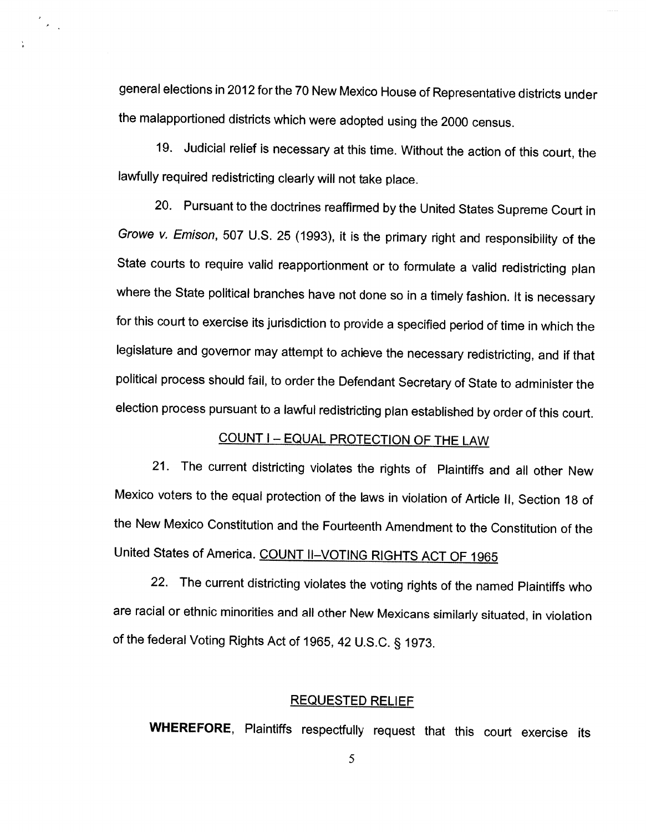general elections in <sup>2012</sup> for the <sup>70</sup> New Mexico House of Representative districts under the malapportioned districts which were adopted using the <sup>2000</sup> census.

 $\bar{z}$  $\mathcal{L}_{\text{max}}$ 

> 19. Judicial relief is necessary at this time. Without the action of this court, the lawfully required redistricting clearly will not take <sup>p</sup>lace.

> 20. Pursuant to the doctrines reaffirmed by the United States Supreme Court in Growe v. Emison, <sup>507</sup> U.S. <sup>25</sup> (1993), it is the primary right and responsibility of the State courts to require valid reapportionment or to formulate <sup>a</sup> valid redistricting <sup>p</sup>lan where the State political branches have not done so in <sup>a</sup> timely fashion. It is necessary for this court to exercise its jurisdiction to provide <sup>a</sup> specified period of time in which the legislature and governor may attempt to achieve the necessary redistricting, and if that political process should fail, to order the Defendant Secretary of State to administer the election process pursuant to <sup>a</sup> lawful redistricting <sup>p</sup>lan established by order of this court.

## COUNT I — EQUAL PROTECTION OF THE LAW

21. The current districting violates the rights of Plaintiffs and all other New Mexico voters to the equal protection of the laws in violation of Article II, Section <sup>18</sup> of the New Mexico Constitution and the Fourteenth Amendment to the Constitution of the United States of America. COUNT II-VOTING RIGHTS ACT OF 1965

22. The current districting violates the voting rights of the named Plaintiffs who are racial or ethnic minorities and all other New Mexicans similarly situated, in violation of the federal Voting Rights Act of 1965, <sup>42</sup> U.S.C. § 1973.

#### REQUESTED RELIEF

WHEREFORE, Plaintiffs respectfully request that this court exercise its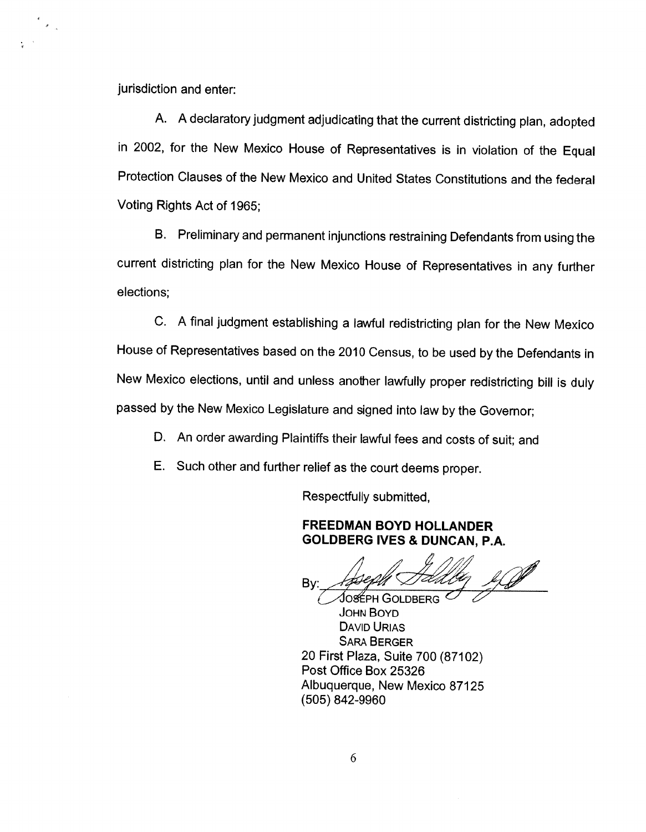jurisdiction and enter:

 $\epsilon_{\rm{max}}$ 

A. <sup>A</sup> declaratory judgment adjudicating that the current districting <sup>p</sup>lan, adopted in 2002, for the New Mexico House of Representatives is in violation of the Equal Protection Clauses of the New Mexico and United States Constitutions and the federal Voting Rights Act of 1965;

B. Preliminary and permanent injunctions restraining Defendants from using the current districting <sup>p</sup>lan for the New Mexico House of Representatives in any further elections;

C. <sup>A</sup> final judgment establishing <sup>a</sup> lawful redistricting <sup>p</sup>lan for the New Mexico House of Representatives based on the <sup>2010</sup> Census, to be used by the Defendants in New Mexico elections, until and unless another lawfully proper redistricting bill is duly passed by the New Mexico Legislature and signed into law by the Governor;

- D. An order awarding Plaintiffs their lawful fees and costs of suit; and
- E. Such other and further relief as the court deems proper.

Respectfully submitted,

#### FREEDMAN BOYD HOLLANDER GOLDBERG IVES & DUNCAN, P.A.

Bv:

JOSÉPH GOLDBERG JOHN BOYD DAvID URIAs SARA BERGER 20 First Plaza, Suite 700 (87102) Post Office Box 25326 Albuquerque, New Mexico 87125 (505) 842-9960